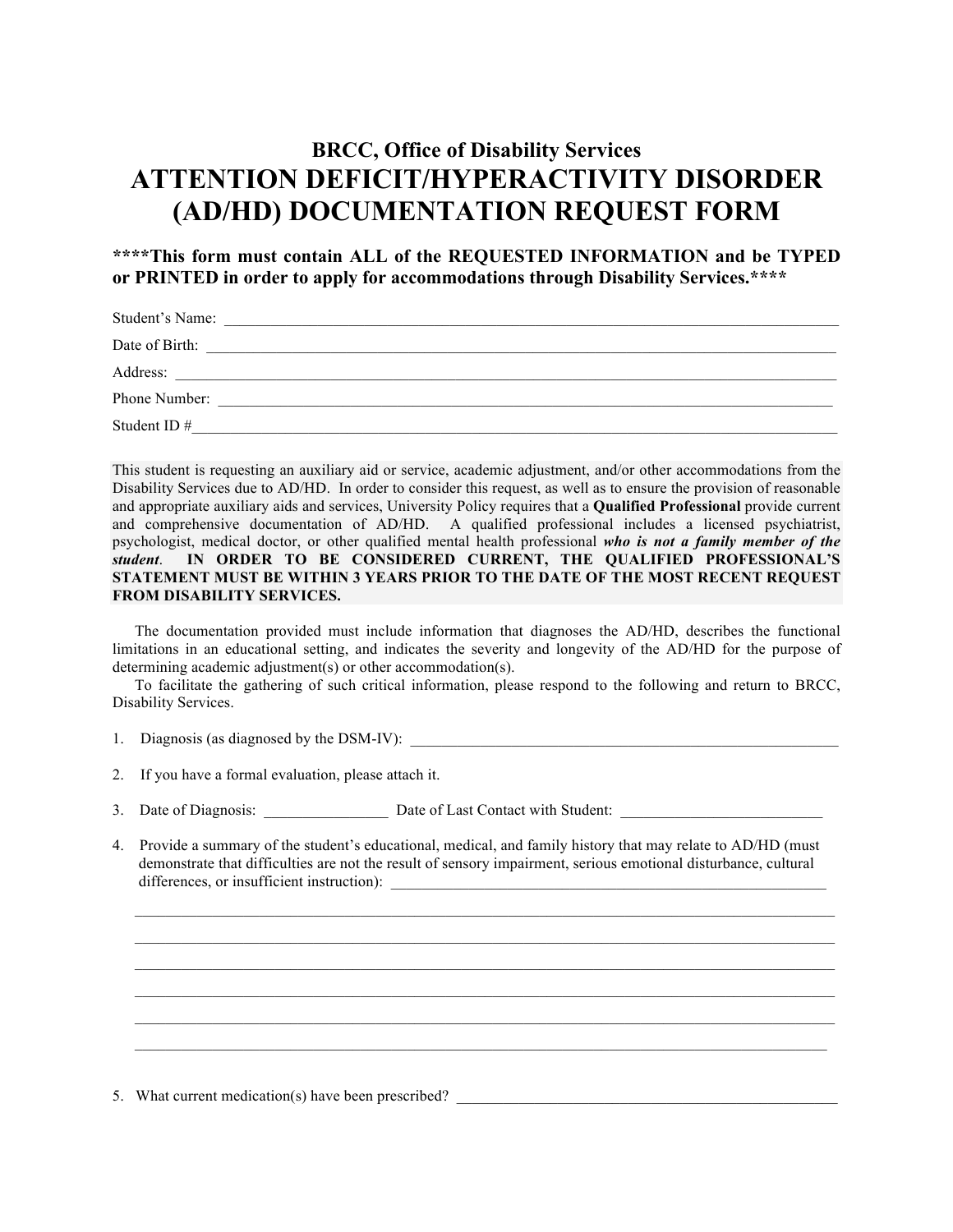## **BRCC, Office of Disability Services ATTENTION DEFICIT/HYPERACTIVITY DISORDER (AD/HD) DOCUMENTATION REQUEST FORM**

## **\*\*\*\*This form must contain ALL of the REQUESTED INFORMATION and be TYPED or PRINTED in order to apply for accommodations through Disability Services.\*\*\*\***

| Student's Name: |
|-----------------|
| Date of Birth:  |
| Address:        |
| Phone Number:   |
| Student ID#     |

This student is requesting an auxiliary aid or service, academic adjustment, and/or other accommodations from the Disability Services due to AD/HD. In order to consider this request, as well as to ensure the provision of reasonable and appropriate auxiliary aids and services, University Policy requires that a **Qualified Professional** provide current and comprehensive documentation of AD/HD. A qualified professional includes a licensed psychiatrist, psychologist, medical doctor, or other qualified mental health professional *who is not a family member of the student*. **IN ORDER TO BE CONSIDERED CURRENT, THE QUALIFIED PROFESSIONAL'S STATEMENT MUST BE WITHIN 3 YEARS PRIOR TO THE DATE OF THE MOST RECENT REQUEST FROM DISABILITY SERVICES.** 

The documentation provided must include information that diagnoses the AD/HD, describes the functional limitations in an educational setting, and indicates the severity and longevity of the AD/HD for the purpose of determining academic adjustment(s) or other accommodation(s).

To facilitate the gathering of such critical information, please respond to the following and return to BRCC, Disability Services.

- 1. Diagnosis (as diagnosed by the DSM-IV):
- 2. If you have a formal evaluation, please attach it.
- 3. Date of Diagnosis: \_\_\_\_\_\_\_\_\_\_\_\_\_\_\_\_\_\_ Date of Last Contact with Student: \_\_\_\_\_\_\_\_\_\_\_\_\_\_\_\_\_\_\_\_\_\_\_\_\_\_\_\_\_\_\_\_\_\_
- 4. Provide a summary of the student's educational, medical, and family history that may relate to AD/HD (must demonstrate that difficulties are not the result of sensory impairment, serious emotional disturbance, cultural differences, or insufficient instruction):

 $\mathcal{L}_\mathcal{L} = \{ \mathcal{L}_\mathcal{L} = \{ \mathcal{L}_\mathcal{L} = \{ \mathcal{L}_\mathcal{L} = \{ \mathcal{L}_\mathcal{L} = \{ \mathcal{L}_\mathcal{L} = \{ \mathcal{L}_\mathcal{L} = \{ \mathcal{L}_\mathcal{L} = \{ \mathcal{L}_\mathcal{L} = \{ \mathcal{L}_\mathcal{L} = \{ \mathcal{L}_\mathcal{L} = \{ \mathcal{L}_\mathcal{L} = \{ \mathcal{L}_\mathcal{L} = \{ \mathcal{L}_\mathcal{L} = \{ \mathcal{L}_\mathcal{$  $\mathcal{L}_\mathcal{L} = \mathcal{L}_\mathcal{L} = \mathcal{L}_\mathcal{L} = \mathcal{L}_\mathcal{L} = \mathcal{L}_\mathcal{L} = \mathcal{L}_\mathcal{L} = \mathcal{L}_\mathcal{L} = \mathcal{L}_\mathcal{L} = \mathcal{L}_\mathcal{L} = \mathcal{L}_\mathcal{L} = \mathcal{L}_\mathcal{L} = \mathcal{L}_\mathcal{L} = \mathcal{L}_\mathcal{L} = \mathcal{L}_\mathcal{L} = \mathcal{L}_\mathcal{L} = \mathcal{L}_\mathcal{L} = \mathcal{L}_\mathcal{L}$  $\mathcal{L}_\mathcal{L} = \mathcal{L}_\mathcal{L} = \mathcal{L}_\mathcal{L} = \mathcal{L}_\mathcal{L} = \mathcal{L}_\mathcal{L} = \mathcal{L}_\mathcal{L} = \mathcal{L}_\mathcal{L} = \mathcal{L}_\mathcal{L} = \mathcal{L}_\mathcal{L} = \mathcal{L}_\mathcal{L} = \mathcal{L}_\mathcal{L} = \mathcal{L}_\mathcal{L} = \mathcal{L}_\mathcal{L} = \mathcal{L}_\mathcal{L} = \mathcal{L}_\mathcal{L} = \mathcal{L}_\mathcal{L} = \mathcal{L}_\mathcal{L}$  $\mathcal{L}_\mathcal{L} = \{ \mathcal{L}_\mathcal{L} = \{ \mathcal{L}_\mathcal{L} = \{ \mathcal{L}_\mathcal{L} = \{ \mathcal{L}_\mathcal{L} = \{ \mathcal{L}_\mathcal{L} = \{ \mathcal{L}_\mathcal{L} = \{ \mathcal{L}_\mathcal{L} = \{ \mathcal{L}_\mathcal{L} = \{ \mathcal{L}_\mathcal{L} = \{ \mathcal{L}_\mathcal{L} = \{ \mathcal{L}_\mathcal{L} = \{ \mathcal{L}_\mathcal{L} = \{ \mathcal{L}_\mathcal{L} = \{ \mathcal{L}_\mathcal{$  $\mathcal{L}_\mathcal{L} = \mathcal{L}_\mathcal{L} = \mathcal{L}_\mathcal{L} = \mathcal{L}_\mathcal{L} = \mathcal{L}_\mathcal{L} = \mathcal{L}_\mathcal{L} = \mathcal{L}_\mathcal{L} = \mathcal{L}_\mathcal{L} = \mathcal{L}_\mathcal{L} = \mathcal{L}_\mathcal{L} = \mathcal{L}_\mathcal{L} = \mathcal{L}_\mathcal{L} = \mathcal{L}_\mathcal{L} = \mathcal{L}_\mathcal{L} = \mathcal{L}_\mathcal{L} = \mathcal{L}_\mathcal{L} = \mathcal{L}_\mathcal{L}$ 

5. What current medication(s) have been prescribed?